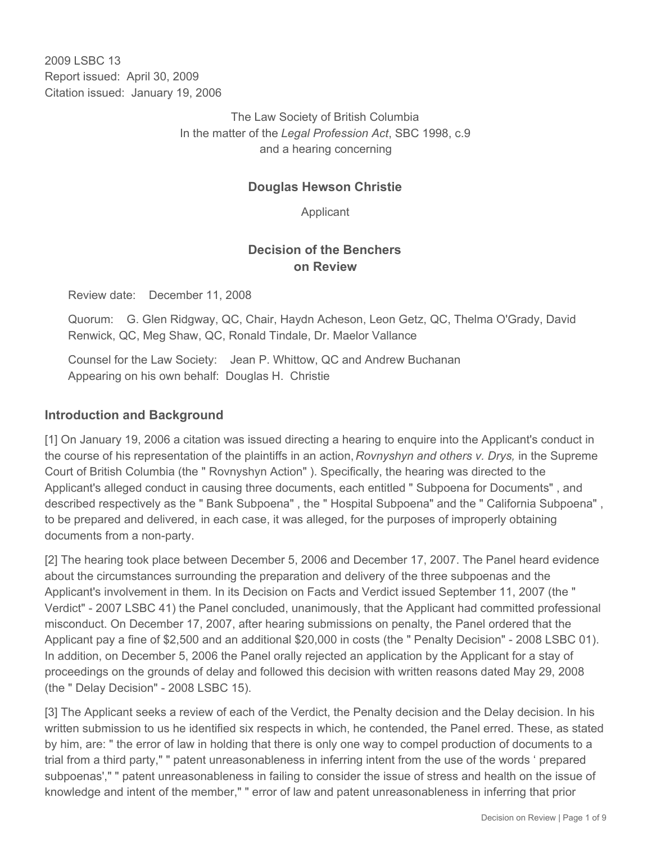2009 LSBC 13 Report issued: April 30, 2009 Citation issued: January 19, 2006

> The Law Society of British Columbia In the matter of the *Legal Profession Act*, SBC 1998, c.9 and a hearing concerning

### **Douglas Hewson Christie**

Applicant

## **Decision of the Benchers on Review**

Review date: December 11, 2008

Quorum: G. Glen Ridgway, QC, Chair, Haydn Acheson, Leon Getz, QC, Thelma O'Grady, David Renwick, QC, Meg Shaw, QC, Ronald Tindale, Dr. Maelor Vallance

Counsel for the Law Society: Jean P. Whittow, QC and Andrew Buchanan Appearing on his own behalf: Douglas H. Christie

#### **Introduction and Background**

[1] On January 19, 2006 a citation was issued directing a hearing to enquire into the Applicant's conduct in the course of his representation of the plaintiffs in an action, *Rovnyshyn and others v. Drys,* in the Supreme Court of British Columbia (the " Rovnyshyn Action" ). Specifically, the hearing was directed to the Applicant's alleged conduct in causing three documents, each entitled " Subpoena for Documents" , and described respectively as the " Bank Subpoena" , the " Hospital Subpoena" and the " California Subpoena" , to be prepared and delivered, in each case, it was alleged, for the purposes of improperly obtaining documents from a non-party.

[2] The hearing took place between December 5, 2006 and December 17, 2007. The Panel heard evidence about the circumstances surrounding the preparation and delivery of the three subpoenas and the Applicant's involvement in them. In its Decision on Facts and Verdict issued September 11, 2007 (the " Verdict" - 2007 LSBC 41) the Panel concluded, unanimously, that the Applicant had committed professional misconduct. On December 17, 2007, after hearing submissions on penalty, the Panel ordered that the Applicant pay a fine of \$2,500 and an additional \$20,000 in costs (the " Penalty Decision" - 2008 LSBC 01). In addition, on December 5, 2006 the Panel orally rejected an application by the Applicant for a stay of proceedings on the grounds of delay and followed this decision with written reasons dated May 29, 2008 (the " Delay Decision" - 2008 LSBC 15).

[3] The Applicant seeks a review of each of the Verdict, the Penalty decision and the Delay decision. In his written submission to us he identified six respects in which, he contended, the Panel erred. These, as stated by him, are: " the error of law in holding that there is only one way to compel production of documents to a trial from a third party," " patent unreasonableness in inferring intent from the use of the words ' prepared subpoenas'," " patent unreasonableness in failing to consider the issue of stress and health on the issue of knowledge and intent of the member," " error of law and patent unreasonableness in inferring that prior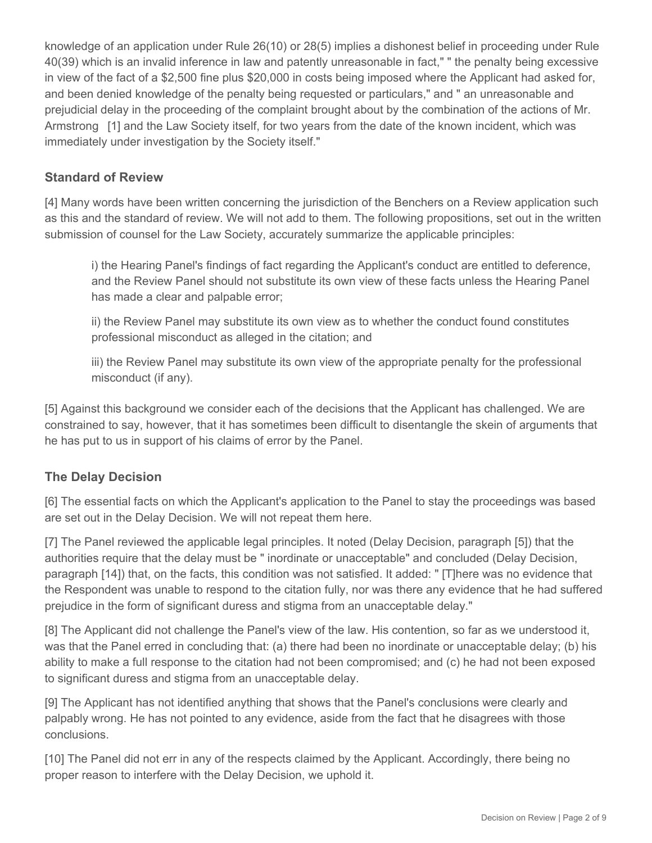knowledge of an application under Rule 26(10) or 28(5) implies a dishonest belief in proceeding under Rule 40(39) which is an invalid inference in law and patently unreasonable in fact," " the penalty being excessive in view of the fact of a \$2,500 fine plus \$20,000 in costs being imposed where the Applicant had asked for, and been denied knowledge of the penalty being requested or particulars," and " an unreasonable and prejudicial delay in the proceeding of the complaint brought about by the combination of the actions of Mr. Armstrong [1] and the Law Society itself, for two years from the date of the known incident, which was immediately under investigation by the Society itself."

### **Standard of Review**

[4] Many words have been written concerning the jurisdiction of the Benchers on a Review application such as this and the standard of review. We will not add to them. The following propositions, set out in the written submission of counsel for the Law Society, accurately summarize the applicable principles:

i) the Hearing Panel's findings of fact regarding the Applicant's conduct are entitled to deference, and the Review Panel should not substitute its own view of these facts unless the Hearing Panel has made a clear and palpable error;

ii) the Review Panel may substitute its own view as to whether the conduct found constitutes professional misconduct as alleged in the citation; and

iii) the Review Panel may substitute its own view of the appropriate penalty for the professional misconduct (if any).

[5] Against this background we consider each of the decisions that the Applicant has challenged. We are constrained to say, however, that it has sometimes been difficult to disentangle the skein of arguments that he has put to us in support of his claims of error by the Panel.

### **The Delay Decision**

[6] The essential facts on which the Applicant's application to the Panel to stay the proceedings was based are set out in the Delay Decision. We will not repeat them here.

[7] The Panel reviewed the applicable legal principles. It noted (Delay Decision, paragraph [5]) that the authorities require that the delay must be " inordinate or unacceptable" and concluded (Delay Decision, paragraph [14]) that, on the facts, this condition was not satisfied. It added: " [T]here was no evidence that the Respondent was unable to respond to the citation fully, nor was there any evidence that he had suffered prejudice in the form of significant duress and stigma from an unacceptable delay."

[8] The Applicant did not challenge the Panel's view of the law. His contention, so far as we understood it, was that the Panel erred in concluding that: (a) there had been no inordinate or unacceptable delay; (b) his ability to make a full response to the citation had not been compromised; and (c) he had not been exposed to significant duress and stigma from an unacceptable delay.

[9] The Applicant has not identified anything that shows that the Panel's conclusions were clearly and palpably wrong. He has not pointed to any evidence, aside from the fact that he disagrees with those conclusions.

[10] The Panel did not err in any of the respects claimed by the Applicant. Accordingly, there being no proper reason to interfere with the Delay Decision, we uphold it.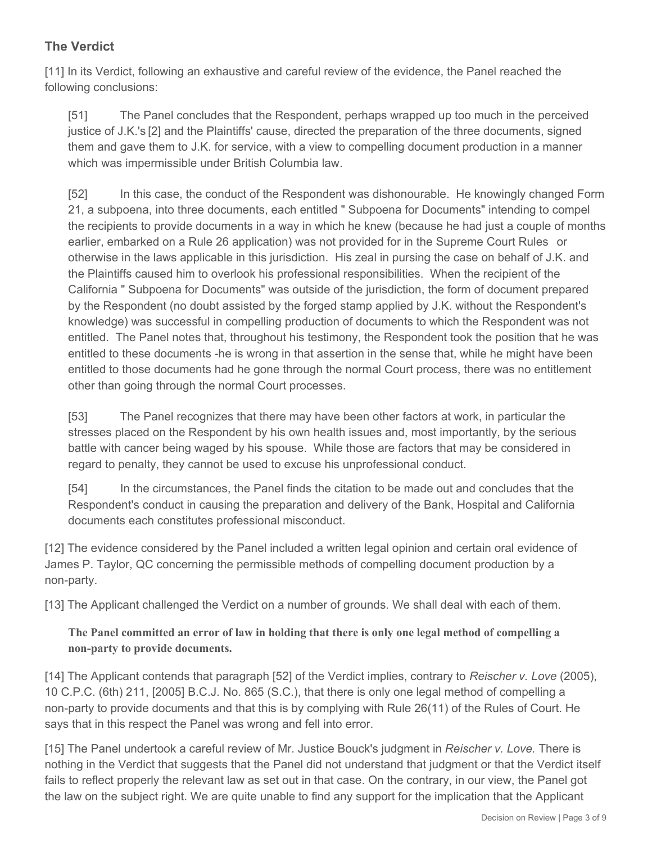# **The Verdict**

[11] In its Verdict, following an exhaustive and careful review of the evidence, the Panel reached the following conclusions:

[51] The Panel concludes that the Respondent, perhaps wrapped up too much in the perceived justice of J.K.'s [2] and the Plaintiffs' cause, directed the preparation of the three documents, signed them and gave them to J.K. for service, with a view to compelling document production in a manner which was impermissible under British Columbia law.

[52] In this case, the conduct of the Respondent was dishonourable. He knowingly changed Form 21, a subpoena, into three documents, each entitled " Subpoena for Documents" intending to compel the recipients to provide documents in a way in which he knew (because he had just a couple of months earlier, embarked on a Rule 26 application) was not provided for in the Supreme Court Rules or otherwise in the laws applicable in this jurisdiction. His zeal in pursing the case on behalf of J.K. and the Plaintiffs caused him to overlook his professional responsibilities. When the recipient of the California " Subpoena for Documents" was outside of the jurisdiction, the form of document prepared by the Respondent (no doubt assisted by the forged stamp applied by J.K. without the Respondent's knowledge) was successful in compelling production of documents to which the Respondent was not entitled. The Panel notes that, throughout his testimony, the Respondent took the position that he was entitled to these documents -he is wrong in that assertion in the sense that, while he might have been entitled to those documents had he gone through the normal Court process, there was no entitlement other than going through the normal Court processes.

[53] The Panel recognizes that there may have been other factors at work, in particular the stresses placed on the Respondent by his own health issues and, most importantly, by the serious battle with cancer being waged by his spouse. While those are factors that may be considered in regard to penalty, they cannot be used to excuse his unprofessional conduct.

[54] In the circumstances, the Panel finds the citation to be made out and concludes that the Respondent's conduct in causing the preparation and delivery of the Bank, Hospital and California documents each constitutes professional misconduct.

[12] The evidence considered by the Panel included a written legal opinion and certain oral evidence of James P. Taylor, QC concerning the permissible methods of compelling document production by a non-party.

[13] The Applicant challenged the Verdict on a number of grounds. We shall deal with each of them.

**The Panel committed an error of law in holding that there is only one legal method of compelling a non-party to provide documents.**

[14] The Applicant contends that paragraph [52] of the Verdict implies, contrary to *Reischer v. Love* (2005), 10 C.P.C. (6th) 211, [2005] B.C.J. No. 865 (S.C.), that there is only one legal method of compelling a non-party to provide documents and that this is by complying with Rule 26(11) of the Rules of Court. He says that in this respect the Panel was wrong and fell into error.

[15] The Panel undertook a careful review of Mr. Justice Bouck's judgment in *Reischer v. Love.* There is nothing in the Verdict that suggests that the Panel did not understand that judgment or that the Verdict itself fails to reflect properly the relevant law as set out in that case. On the contrary, in our view, the Panel got the law on the subject right. We are quite unable to find any support for the implication that the Applicant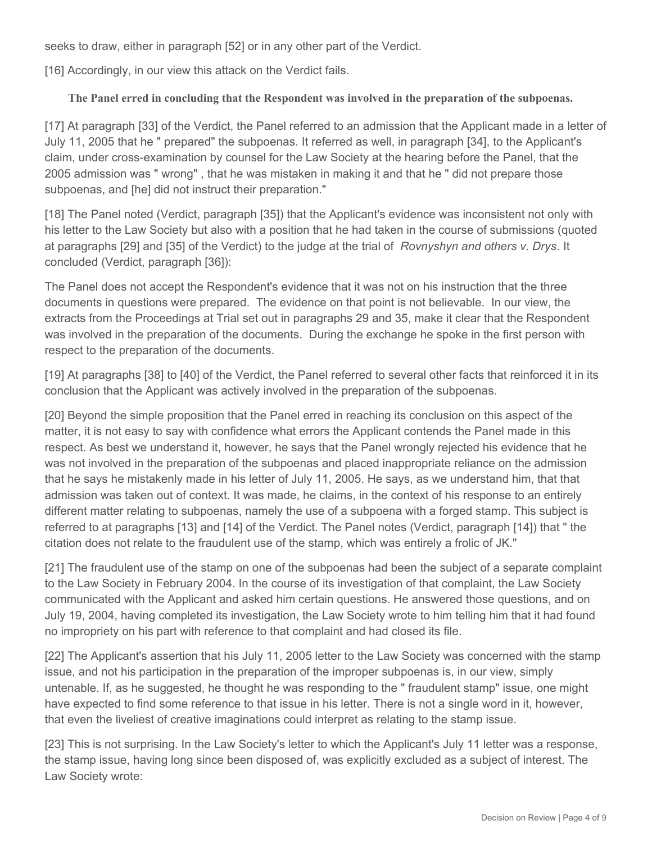seeks to draw, either in paragraph [52] or in any other part of the Verdict.

[16] Accordingly, in our view this attack on the Verdict fails.

#### **The Panel erred in concluding that the Respondent was involved in the preparation of the subpoenas.**

[17] At paragraph [33] of the Verdict, the Panel referred to an admission that the Applicant made in a letter of July 11, 2005 that he " prepared" the subpoenas. It referred as well, in paragraph [34], to the Applicant's claim, under cross-examination by counsel for the Law Society at the hearing before the Panel, that the 2005 admission was " wrong" , that he was mistaken in making it and that he " did not prepare those subpoenas, and [he] did not instruct their preparation."

[18] The Panel noted (Verdict, paragraph [35]) that the Applicant's evidence was inconsistent not only with his letter to the Law Society but also with a position that he had taken in the course of submissions (quoted at paragraphs [29] and [35] of the Verdict) to the judge at the trial of *Rovnyshyn and others v. Drys*. It concluded (Verdict, paragraph [36]):

The Panel does not accept the Respondent's evidence that it was not on his instruction that the three documents in questions were prepared. The evidence on that point is not believable. In our view, the extracts from the Proceedings at Trial set out in paragraphs 29 and 35, make it clear that the Respondent was involved in the preparation of the documents. During the exchange he spoke in the first person with respect to the preparation of the documents.

[19] At paragraphs [38] to [40] of the Verdict, the Panel referred to several other facts that reinforced it in its conclusion that the Applicant was actively involved in the preparation of the subpoenas.

[20] Beyond the simple proposition that the Panel erred in reaching its conclusion on this aspect of the matter, it is not easy to say with confidence what errors the Applicant contends the Panel made in this respect. As best we understand it, however, he says that the Panel wrongly rejected his evidence that he was not involved in the preparation of the subpoenas and placed inappropriate reliance on the admission that he says he mistakenly made in his letter of July 11, 2005. He says, as we understand him, that that admission was taken out of context. It was made, he claims, in the context of his response to an entirely different matter relating to subpoenas, namely the use of a subpoena with a forged stamp. This subject is referred to at paragraphs [13] and [14] of the Verdict. The Panel notes (Verdict, paragraph [14]) that " the citation does not relate to the fraudulent use of the stamp, which was entirely a frolic of JK."

[21] The fraudulent use of the stamp on one of the subpoenas had been the subject of a separate complaint to the Law Society in February 2004. In the course of its investigation of that complaint, the Law Society communicated with the Applicant and asked him certain questions. He answered those questions, and on July 19, 2004, having completed its investigation, the Law Society wrote to him telling him that it had found no impropriety on his part with reference to that complaint and had closed its file.

[22] The Applicant's assertion that his July 11, 2005 letter to the Law Society was concerned with the stamp issue, and not his participation in the preparation of the improper subpoenas is, in our view, simply untenable. If, as he suggested, he thought he was responding to the " fraudulent stamp" issue, one might have expected to find some reference to that issue in his letter. There is not a single word in it, however, that even the liveliest of creative imaginations could interpret as relating to the stamp issue.

[23] This is not surprising. In the Law Society's letter to which the Applicant's July 11 letter was a response, the stamp issue, having long since been disposed of, was explicitly excluded as a subject of interest. The Law Society wrote: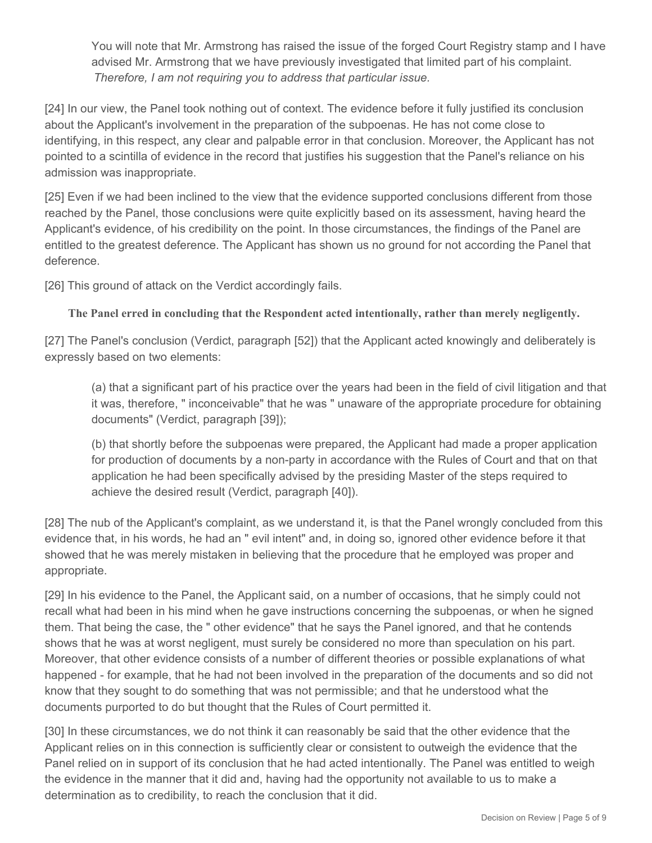You will note that Mr. Armstrong has raised the issue of the forged Court Registry stamp and I have advised Mr. Armstrong that we have previously investigated that limited part of his complaint. *Therefore, I am not requiring you to address that particular issue.*

[24] In our view, the Panel took nothing out of context. The evidence before it fully justified its conclusion about the Applicant's involvement in the preparation of the subpoenas. He has not come close to identifying, in this respect, any clear and palpable error in that conclusion. Moreover, the Applicant has not pointed to a scintilla of evidence in the record that justifies his suggestion that the Panel's reliance on his admission was inappropriate.

[25] Even if we had been inclined to the view that the evidence supported conclusions different from those reached by the Panel, those conclusions were quite explicitly based on its assessment, having heard the Applicant's evidence, of his credibility on the point. In those circumstances, the findings of the Panel are entitled to the greatest deference. The Applicant has shown us no ground for not according the Panel that deference.

[26] This ground of attack on the Verdict accordingly fails.

**The Panel erred in concluding that the Respondent acted intentionally, rather than merely negligently.**

[27] The Panel's conclusion (Verdict, paragraph [52]) that the Applicant acted knowingly and deliberately is expressly based on two elements:

(a) that a significant part of his practice over the years had been in the field of civil litigation and that it was, therefore, " inconceivable" that he was " unaware of the appropriate procedure for obtaining documents" (Verdict, paragraph [39]);

(b) that shortly before the subpoenas were prepared, the Applicant had made a proper application for production of documents by a non-party in accordance with the Rules of Court and that on that application he had been specifically advised by the presiding Master of the steps required to achieve the desired result (Verdict, paragraph [40]).

[28] The nub of the Applicant's complaint, as we understand it, is that the Panel wrongly concluded from this evidence that, in his words, he had an " evil intent" and, in doing so, ignored other evidence before it that showed that he was merely mistaken in believing that the procedure that he employed was proper and appropriate.

[29] In his evidence to the Panel, the Applicant said, on a number of occasions, that he simply could not recall what had been in his mind when he gave instructions concerning the subpoenas, or when he signed them. That being the case, the " other evidence" that he says the Panel ignored, and that he contends shows that he was at worst negligent, must surely be considered no more than speculation on his part. Moreover, that other evidence consists of a number of different theories or possible explanations of what happened - for example, that he had not been involved in the preparation of the documents and so did not know that they sought to do something that was not permissible; and that he understood what the documents purported to do but thought that the Rules of Court permitted it.

[30] In these circumstances, we do not think it can reasonably be said that the other evidence that the Applicant relies on in this connection is sufficiently clear or consistent to outweigh the evidence that the Panel relied on in support of its conclusion that he had acted intentionally. The Panel was entitled to weigh the evidence in the manner that it did and, having had the opportunity not available to us to make a determination as to credibility, to reach the conclusion that it did.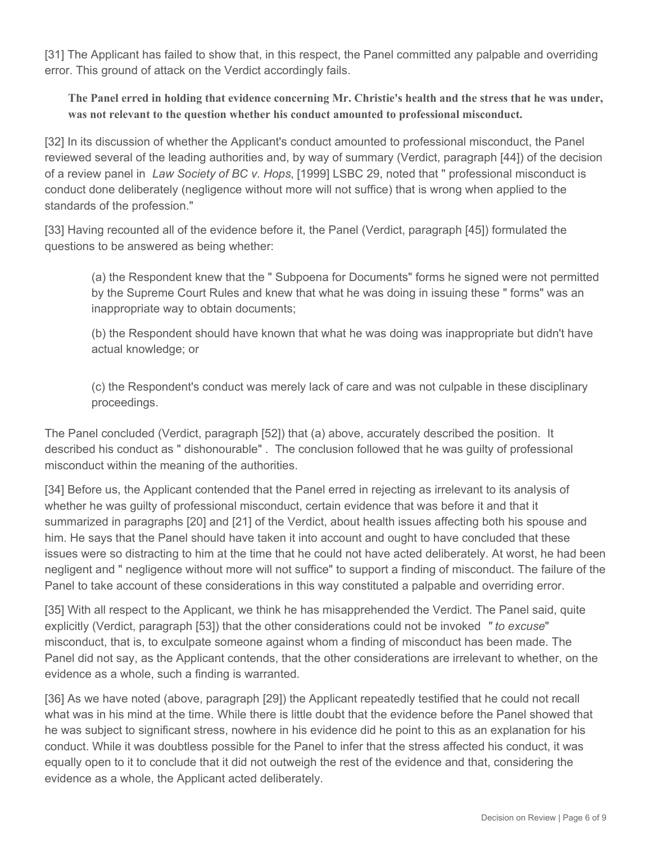[31] The Applicant has failed to show that, in this respect, the Panel committed any palpable and overriding error. This ground of attack on the Verdict accordingly fails.

**The Panel erred in holding that evidence concerning Mr. Christie's health and the stress that he was under, was not relevant to the question whether his conduct amounted to professional misconduct.** 

[32] In its discussion of whether the Applicant's conduct amounted to professional misconduct, the Panel reviewed several of the leading authorities and, by way of summary (Verdict, paragraph [44]) of the decision of a review panel in *Law Society of BC v. Hops*, [1999] LSBC 29, noted that " professional misconduct is conduct done deliberately (negligence without more will not suffice) that is wrong when applied to the standards of the profession."

[33] Having recounted all of the evidence before it, the Panel (Verdict, paragraph [45]) formulated the questions to be answered as being whether:

(a) the Respondent knew that the " Subpoena for Documents" forms he signed were not permitted by the Supreme Court Rules and knew that what he was doing in issuing these " forms" was an inappropriate way to obtain documents;

(b) the Respondent should have known that what he was doing was inappropriate but didn't have actual knowledge; or

(c) the Respondent's conduct was merely lack of care and was not culpable in these disciplinary proceedings.

The Panel concluded (Verdict, paragraph [52]) that (a) above, accurately described the position. It described his conduct as " dishonourable" . The conclusion followed that he was guilty of professional misconduct within the meaning of the authorities.

[34] Before us, the Applicant contended that the Panel erred in rejecting as irrelevant to its analysis of whether he was guilty of professional misconduct, certain evidence that was before it and that it summarized in paragraphs [20] and [21] of the Verdict, about health issues affecting both his spouse and him. He says that the Panel should have taken it into account and ought to have concluded that these issues were so distracting to him at the time that he could not have acted deliberately. At worst, he had been negligent and " negligence without more will not suffice" to support a finding of misconduct. The failure of the Panel to take account of these considerations in this way constituted a palpable and overriding error.

[35] With all respect to the Applicant, we think he has misapprehended the Verdict. The Panel said, quite explicitly (Verdict, paragraph [53]) that the other considerations could not be invoked *" to excuse*" misconduct, that is, to exculpate someone against whom a finding of misconduct has been made. The Panel did not say, as the Applicant contends, that the other considerations are irrelevant to whether, on the evidence as a whole, such a finding is warranted.

[36] As we have noted (above, paragraph [29]) the Applicant repeatedly testified that he could not recall what was in his mind at the time. While there is little doubt that the evidence before the Panel showed that he was subject to significant stress, nowhere in his evidence did he point to this as an explanation for his conduct. While it was doubtless possible for the Panel to infer that the stress affected his conduct, it was equally open to it to conclude that it did not outweigh the rest of the evidence and that, considering the evidence as a whole, the Applicant acted deliberately.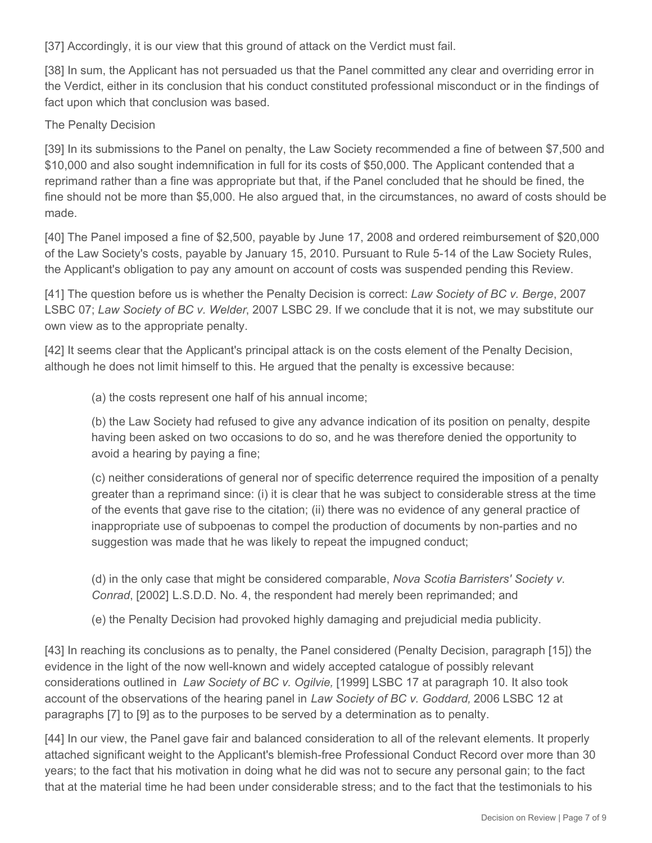[37] Accordingly, it is our view that this ground of attack on the Verdict must fail.

[38] In sum, the Applicant has not persuaded us that the Panel committed any clear and overriding error in the Verdict, either in its conclusion that his conduct constituted professional misconduct or in the findings of fact upon which that conclusion was based.

#### The Penalty Decision

[39] In its submissions to the Panel on penalty, the Law Society recommended a fine of between \$7,500 and \$10,000 and also sought indemnification in full for its costs of \$50,000. The Applicant contended that a reprimand rather than a fine was appropriate but that, if the Panel concluded that he should be fined, the fine should not be more than \$5,000. He also argued that, in the circumstances, no award of costs should be made.

[40] The Panel imposed a fine of \$2,500, payable by June 17, 2008 and ordered reimbursement of \$20,000 of the Law Society's costs, payable by January 15, 2010. Pursuant to Rule 5-14 of the Law Society Rules, the Applicant's obligation to pay any amount on account of costs was suspended pending this Review.

[41] The question before us is whether the Penalty Decision is correct: *Law Society of BC v. Berge*, 2007 LSBC 07; *Law Society of BC v. Welder*, 2007 LSBC 29. If we conclude that it is not, we may substitute our own view as to the appropriate penalty.

[42] It seems clear that the Applicant's principal attack is on the costs element of the Penalty Decision, although he does not limit himself to this. He argued that the penalty is excessive because:

(a) the costs represent one half of his annual income;

(b) the Law Society had refused to give any advance indication of its position on penalty, despite having been asked on two occasions to do so, and he was therefore denied the opportunity to avoid a hearing by paying a fine;

(c) neither considerations of general nor of specific deterrence required the imposition of a penalty greater than a reprimand since: (i) it is clear that he was subject to considerable stress at the time of the events that gave rise to the citation; (ii) there was no evidence of any general practice of inappropriate use of subpoenas to compel the production of documents by non-parties and no suggestion was made that he was likely to repeat the impugned conduct;

(d) in the only case that might be considered comparable, *Nova Scotia Barristers' Society v. Conrad*, [2002] L.S.D.D. No. 4, the respondent had merely been reprimanded; and

(e) the Penalty Decision had provoked highly damaging and prejudicial media publicity.

[43] In reaching its conclusions as to penalty, the Panel considered (Penalty Decision, paragraph [15]) the evidence in the light of the now well-known and widely accepted catalogue of possibly relevant considerations outlined in *Law Society of BC v. Ogilvie,* [1999] LSBC 17 at paragraph 10. It also took account of the observations of the hearing panel in *Law Society of BC v. Goddard,* 2006 LSBC 12 at paragraphs [7] to [9] as to the purposes to be served by a determination as to penalty.

[44] In our view, the Panel gave fair and balanced consideration to all of the relevant elements. It properly attached significant weight to the Applicant's blemish-free Professional Conduct Record over more than 30 years; to the fact that his motivation in doing what he did was not to secure any personal gain; to the fact that at the material time he had been under considerable stress; and to the fact that the testimonials to his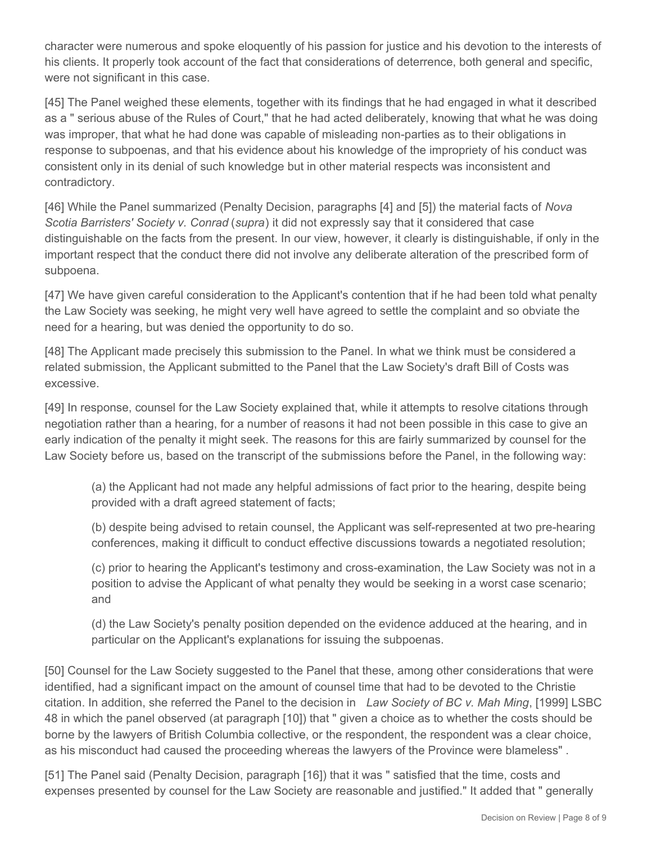character were numerous and spoke eloquently of his passion for justice and his devotion to the interests of his clients. It properly took account of the fact that considerations of deterrence, both general and specific, were not significant in this case.

[45] The Panel weighed these elements, together with its findings that he had engaged in what it described as a " serious abuse of the Rules of Court," that he had acted deliberately, knowing that what he was doing was improper, that what he had done was capable of misleading non-parties as to their obligations in response to subpoenas, and that his evidence about his knowledge of the impropriety of his conduct was consistent only in its denial of such knowledge but in other material respects was inconsistent and contradictory.

[46] While the Panel summarized (Penalty Decision, paragraphs [4] and [5]) the material facts of *Nova Scotia Barristers' Society v. Conrad* (*supra*) it did not expressly say that it considered that case distinguishable on the facts from the present. In our view, however, it clearly is distinguishable, if only in the important respect that the conduct there did not involve any deliberate alteration of the prescribed form of subpoena.

[47] We have given careful consideration to the Applicant's contention that if he had been told what penalty the Law Society was seeking, he might very well have agreed to settle the complaint and so obviate the need for a hearing, but was denied the opportunity to do so.

[48] The Applicant made precisely this submission to the Panel. In what we think must be considered a related submission, the Applicant submitted to the Panel that the Law Society's draft Bill of Costs was excessive.

[49] In response, counsel for the Law Society explained that, while it attempts to resolve citations through negotiation rather than a hearing, for a number of reasons it had not been possible in this case to give an early indication of the penalty it might seek. The reasons for this are fairly summarized by counsel for the Law Society before us, based on the transcript of the submissions before the Panel, in the following way:

(a) the Applicant had not made any helpful admissions of fact prior to the hearing, despite being provided with a draft agreed statement of facts;

(b) despite being advised to retain counsel, the Applicant was self-represented at two pre-hearing conferences, making it difficult to conduct effective discussions towards a negotiated resolution;

(c) prior to hearing the Applicant's testimony and cross-examination, the Law Society was not in a position to advise the Applicant of what penalty they would be seeking in a worst case scenario; and

(d) the Law Society's penalty position depended on the evidence adduced at the hearing, and in particular on the Applicant's explanations for issuing the subpoenas.

[50] Counsel for the Law Society suggested to the Panel that these, among other considerations that were identified, had a significant impact on the amount of counsel time that had to be devoted to the Christie citation. In addition, she referred the Panel to the decision in *Law Society of BC v. Mah Ming*, [1999] LSBC 48 in which the panel observed (at paragraph [10]) that " given a choice as to whether the costs should be borne by the lawyers of British Columbia collective, or the respondent, the respondent was a clear choice, as his misconduct had caused the proceeding whereas the lawyers of the Province were blameless" .

[51] The Panel said (Penalty Decision, paragraph [16]) that it was " satisfied that the time, costs and expenses presented by counsel for the Law Society are reasonable and justified." It added that " generally